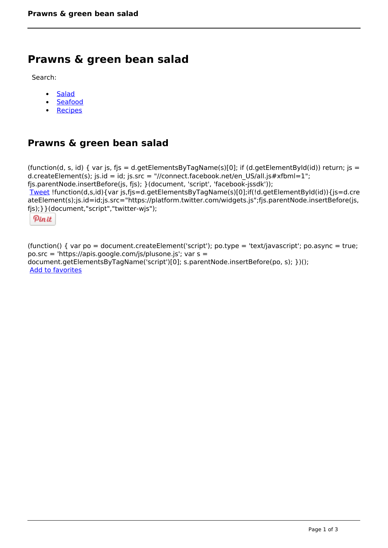## **Prawns & green bean salad**

Search:

- **[Salad](https://www.naturalhealthmag.com.au/nourish/salads)**  $\bullet$
- [Seafood](https://www.naturalhealthmag.com.au/nourish/seafood)  $\bullet$
- **[Recipes](https://www.naturalhealthmag.com.au/nourish/recipes)**

## **Prawns & green bean salad**

```
(function(d, s, id) { var js, fjs = d.getElementsByTagName(s)[0]; if (d.getElementById(id)) return; js =
d.createElement(s); js.id = id; js.src = "//connect.facebook.net/en_US/all.js#xfbml=1";
fjs.parentNode.insertBefore(js, fjs); }(document, 'script', 'facebook-jssdk')); 
Tweet !function(d,s,id){var js,fjs=d.getElementsByTagName(s)[0];if(!d.getElementById(id)){js=d.cre
ateElement(s);js.id=id;js.src="https://platform.twitter.com/widgets.js";fjs.parentNode.insertBefore(js,
fjs);}}(document,"script","twitter-wjs"); 
 Pin it
```
(function() { var po = document.createElement('script'); po.type = 'text/javascript'; po.async = true; po.src = 'https://apis.google.com/js/plusone.js'; var s = document.getElementsByTagName('script')[0]; s.parentNode.insertBefore(po, s); })(); Add to favorites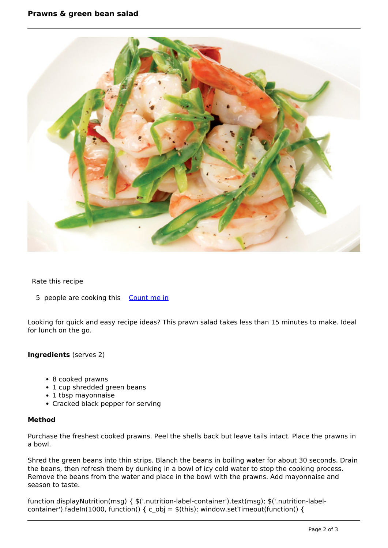

## Rate this recipe

5 people are cooking this [Count me in](https://www.naturalhealthmag.com.au/flag/flag/favorites/549?destination=printpdf%2F549&token=c29bb956ed7267c4a1dea2b1d671ceef)

Looking for quick and easy recipe ideas? This prawn salad takes less than 15 minutes to make. Ideal for lunch on the go.

**Ingredients** (serves 2)

- 8 cooked prawns
- 1 cup shredded green beans
- 1 tbsp mayonnaise
- Cracked black pepper for serving

## **Method**

Purchase the freshest cooked prawns. Peel the shells back but leave tails intact. Place the prawns in a bowl.

Shred the green beans into thin strips. Blanch the beans in boiling water for about 30 seconds. Drain the beans, then refresh them by dunking in a bowl of icy cold water to stop the cooking process. Remove the beans from the water and place in the bowl with the prawns. Add mayonnaise and season to taste.

function displayNutrition(msg) { \$('.nutrition-label-container').text(msg); \$('.nutrition-labelcontainer').fadeIn(1000, function() { c\_obj =  $$(this)$$ ; window.setTimeout(function() {